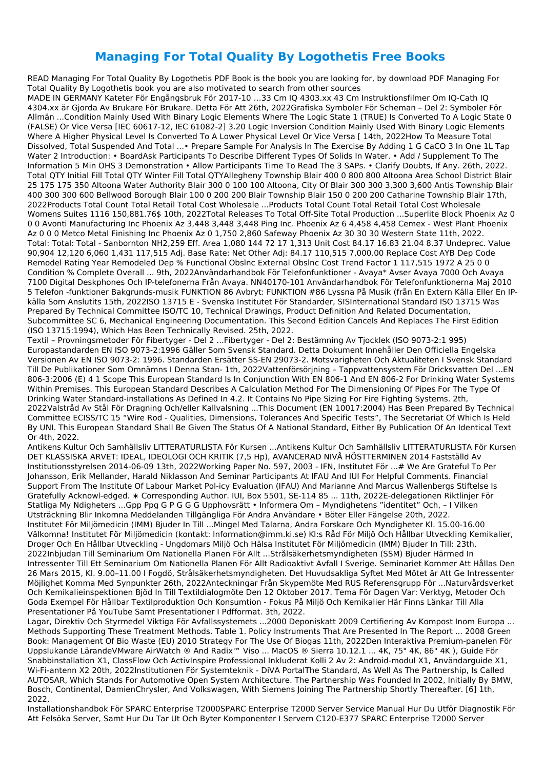## **Managing For Total Quality By Logothetis Free Books**

READ Managing For Total Quality By Logothetis PDF Book is the book you are looking for, by download PDF Managing For Total Quality By Logothetis book you are also motivated to search from other sources

MADE IN GERMANY Kateter För Engångsbruk För 2017-10 …33 Cm IQ 4303.xx 43 Cm Instruktionsfilmer Om IQ-Cath IQ 4304.xx är Gjorda Av Brukare För Brukare. Detta För Att 26th, 2022Grafiska Symboler För Scheman – Del 2: Symboler För Allmän ...Condition Mainly Used With Binary Logic Elements Where The Logic State 1 (TRUE) Is Converted To A Logic State 0 (FALSE) Or Vice Versa [IEC 60617-12, IEC 61082-2] 3.20 Logic Inversion Condition Mainly Used With Binary Logic Elements Where A Higher Physical Level Is Converted To A Lower Physical Level Or Vice Versa [ 14th, 2022How To Measure Total Dissolved, Total Suspended And Total ...• Prepare Sample For Analysis In The Exercise By Adding 1 G CaCO 3 In One 1L Tap Water 2 Introduction: • BoardAsk Participants To Describe Different Types Of Solids In Water. • Add / Supplement To The Information 5 Min OHS 3 Demonstration • Allow Participants Time To Read The 3 SAPs. • Clarify Doubts, If Any. 26th, 2022. Total QTY Initial Fill Total QTY Winter Fill Total QTYAllegheny Township Blair 400 0 800 800 Altoona Area School District Blair 25 175 175 350 Altoona Water Authority Blair 300 0 100 100 Altoona, City Of Blair 300 300 3,300 3,600 Antis Township Blair 400 300 300 600 Bellwood Borough Blair 100 0 200 200 Blair Township Blair 150 0 200 200 Catharine Township Blair 17th, 2022Products Total Count Total Retail Total Cost Wholesale ...Products Total Count Total Retail Total Cost Wholesale Womens Suites 1116 150,881.76\$ 10th, 2022Total Releases To Total Off-Site Total Production ...Superlite Block Phoenix Az 0 0 0 Avonti Manufacturing Inc Phoenix Az 3,448 3,448 3,448 Ping Inc. Phoenix Az 6 4,458 4,458 Cemex - West Plant Phoenix Az 0 0 0 Metco Metal Finishing Inc Phoenix Az 0 1,750 2,860 Safeway Phoenix Az 30 30 30 Western State 11th, 2022. Total: Total: Total - Sanbornton NH2,259 Eff. Area 1,080 144 72 17 1,313 Unit Cost 84.17 16.83 21.04 8.37 Undeprec. Value 90,904 12,120 6,060 1,431 117,515 Adj. Base Rate: Net Other Adj: 84.17 110,515 7,000.00 Replace Cost AYB Dep Code Remodel Rating Year Remodeled Dep % Functional Obslnc External Obslnc Cost Trend Factor 1 117,515 1972 A 25 0 0 Condition % Complete Overall ... 9th, 2022Användarhandbok För Telefonfunktioner - Avaya\* Avser Avaya 7000 Och Avaya 7100 Digital Deskphones Och IP-telefonerna Från Avaya. NN40170-101 Användarhandbok För Telefonfunktionerna Maj 2010 5 Telefon -funktioner Bakgrunds-musik FUNKTION 86 Avbryt: FUNKTION #86 Lyssna På Musik (från En Extern Källa Eller En IPkälla Som Anslutits 15th, 2022ISO 13715 E - Svenska Institutet För Standarder, SISInternational Standard ISO 13715 Was Prepared By Technical Committee ISO/TC 10, Technical Drawings, Product Definition And Related Documentation, Subcommittee SC 6, Mechanical Engineering Documentation. This Second Edition Cancels And Replaces The First Edition (ISO 13715:1994), Which Has Been Technically Revised. 25th, 2022.

Textil – Provningsmetoder För Fibertyger - Del 2 ...Fibertyger - Del 2: Bestämning Av Tjocklek (ISO 9073-2:1 995) Europastandarden EN ISO 9073-2:1996 Gäller Som Svensk Standard. Detta Dokument Innehåller Den Officiella Engelska Versionen Av EN ISO 9073-2: 1996. Standarden Ersätter SS-EN 29073-2. Motsvarigheten Och Aktualiteten I Svensk Standard Till De Publikationer Som Omnämns I Denna Stan- 1th, 2022Vattenförsörjning – Tappvattensystem För Dricksvatten Del ...EN 806-3:2006 (E) 4 1 Scope This European Standard Is In Conjunction With EN 806-1 And EN 806-2 For Drinking Water Systems Within Premises. This European Standard Describes A Calculation Method For The Dimensioning Of Pipes For The Type Of Drinking Water Standard-installations As Defined In 4.2. It Contains No Pipe Sizing For Fire Fighting Systems. 2th, 2022Valstråd Av Stål För Dragning Och/eller Kallvalsning ...This Document (EN 10017:2004) Has Been Prepared By Technical Committee ECISS/TC 15 "Wire Rod - Qualities, Dimensions, Tolerances And Specific Tests", The Secretariat Of Which Is Held By UNI. This European Standard Shall Be Given The Status Of A National Standard, Either By Publication Of An Identical Text Or 4th, 2022.

Antikens Kultur Och Samhällsliv LITTERATURLISTA För Kursen ...Antikens Kultur Och Samhällsliv LITTERATURLISTA För Kursen DET KLASSISKA ARVET: IDEAL, IDEOLOGI OCH KRITIK (7,5 Hp), AVANCERAD NIVÅ HÖSTTERMINEN 2014 Fastställd Av Institutionsstyrelsen 2014-06-09 13th, 2022Working Paper No. 597, 2003 - IFN, Institutet För ...# We Are Grateful To Per Johansson, Erik Mellander, Harald Niklasson And Seminar Participants At IFAU And IUI For Helpful Comments. Financial Support From The Institute Of Labour Market Pol-icy Evaluation (IFAU) And Marianne And Marcus Wallenbergs Stiftelse Is Gratefully Acknowl-edged. ∗ Corresponding Author. IUI, Box 5501, SE-114 85 ... 11th, 2022E-delegationen Riktlinjer För Statliga My Ndigheters ...Gpp Ppg G P G G G Upphovsrätt • Informera Om – Myndighetens "identitet" Och, – I Vilken Utsträckning Blir Inkomna Meddelanden Tillgängliga För Andra Användare • Böter Eller Fängelse 20th, 2022. Institutet För Miljömedicin (IMM) Bjuder In Till ...Mingel Med Talarna, Andra Forskare Och Myndigheter Kl. 15.00-16.00 Välkomna! Institutet För Miljömedicin (kontakt: Information@imm.ki.se) KI:s Råd För Miljö Och Hållbar Utveckling Kemikalier, Droger Och En Hållbar Utveckling - Ungdomars Miljö Och Hälsa Institutet För Miljömedicin (IMM) Bjuder In Till: 23th, 2022Inbjudan Till Seminarium Om Nationella Planen För Allt ...Strålsäkerhetsmyndigheten (SSM) Bjuder Härmed In Intressenter Till Ett Seminarium Om Nationella Planen För Allt Radioaktivt Avfall I Sverige. Seminariet Kommer Att Hållas Den 26 Mars 2015, Kl. 9.00–11.00 I Fogdö, Strålsäkerhetsmyndigheten. Det Huvudsakliga Syftet Med Mötet är Att Ge Intressenter Möjlighet Komma Med Synpunkter 26th, 2022Anteckningar Från Skypemöte Med RUS Referensgrupp För ...Naturvårdsverket Och Kemikalieinspektionen Bjöd In Till Textildialogmöte Den 12 Oktober 2017. Tema För Dagen Var: Verktyg, Metoder Och Goda Exempel För Hållbar Textilproduktion Och Konsumtion - Fokus På Miljö Och Kemikalier Här Finns Länkar Till Alla Presentationer På YouTube Samt Presentationer I Pdfformat. 3th, 2022. Lagar, Direktiv Och Styrmedel Viktiga För Avfallssystemets ...2000 Deponiskatt 2009 Certifiering Av Kompost Inom Europa ... Methods Supporting These Treatment Methods. Table 1. Policy Instruments That Are Presented In The Report ... 2008 Green Book: Management Of Bio Waste (EU) 2010 Strategy For The Use Of Biogas 11th, 2022Den Interaktiva Premium-panelen För Uppslukande LärandeVMware AirWatch ® And Radix™ Viso ... MacOS ® Sierra 10.12.1 ... 4K, 75" 4K, 86" 4K ), Guide För Snabbinstallation X1, ClassFlow Och ActivInspire Professional Inkluderat Kolli 2 Av 2: Android-modul X1, Användarguide X1, Wi-Fi-antenn X2 20th, 2022Institutionen För Systemteknik - DiVA PortalThe Standard, As Well As The Partnership, Is Called AUTOSAR, Which Stands For Automotive Open System Architecture. The Partnership Was Founded In 2002, Initially By BMW, Bosch, Continental, DamienChrysler, And Volkswagen, With Siemens Joining The Partnership Shortly Thereafter. [6] 1th, 2022.

Installationshandbok För SPARC Enterprise T2000SPARC Enterprise T2000 Server Service Manual Hur Du Utför Diagnostik För Att Felsöka Server, Samt Hur Du Tar Ut Och Byter Komponenter I Servern C120-E377 SPARC Enterprise T2000 Server